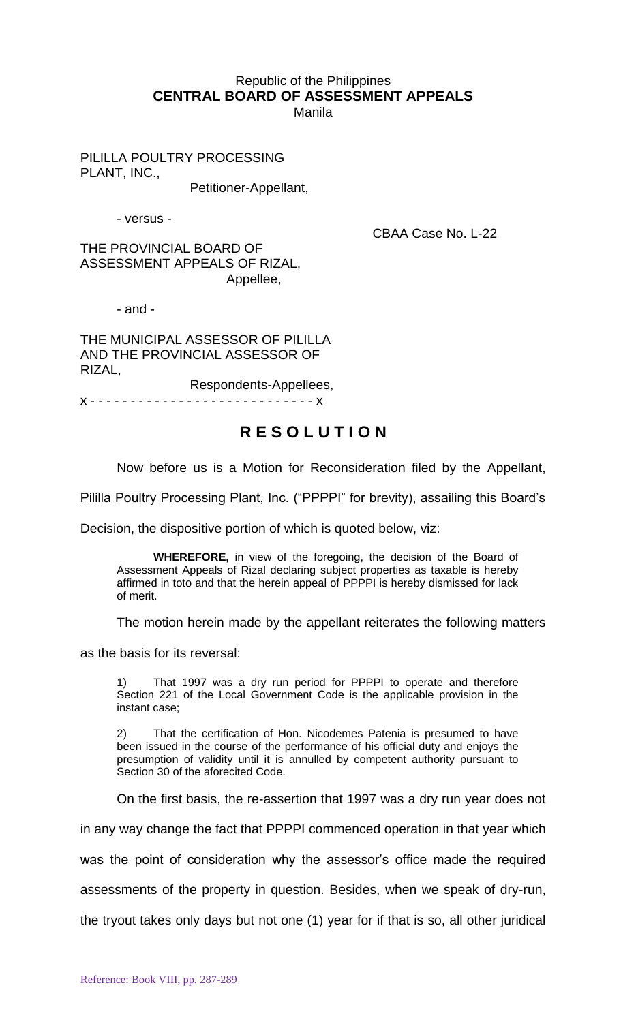## Republic of the Philippines **CENTRAL BOARD OF ASSESSMENT APPEALS** Manila

PILILLA POULTRY PROCESSING PLANT, INC.,

Petitioner-Appellant,

- versus -

CBAA Case No. L-22

THE PROVINCIAL BOARD OF ASSESSMENT APPEALS OF RIZAL, Appellee,

- and -

THE MUNICIPAL ASSESSOR OF PILILLA AND THE PROVINCIAL ASSESSOR OF RIZAL,

Respondents-Appellees,

x - - - - - - - - - - - - - - - - - - - - - - - - - - - - x

## **R E S O L U T I O N**

Now before us is a Motion for Reconsideration filed by the Appellant,

Pililla Poultry Processing Plant, Inc. ("PPPPI" for brevity), assailing this Board's

Decision, the dispositive portion of which is quoted below, viz:

**WHEREFORE,** in view of the foregoing, the decision of the Board of Assessment Appeals of Rizal declaring subject properties as taxable is hereby affirmed in toto and that the herein appeal of PPPPI is hereby dismissed for lack of merit.

The motion herein made by the appellant reiterates the following matters

as the basis for its reversal:

1) That 1997 was a dry run period for PPPPI to operate and therefore Section 221 of the Local Government Code is the applicable provision in the instant case;

2) That the certification of Hon. Nicodemes Patenia is presumed to have been issued in the course of the performance of his official duty and enjoys the presumption of validity until it is annulled by competent authority pursuant to Section 30 of the aforecited Code.

On the first basis, the re-assertion that 1997 was a dry run year does not

in any way change the fact that PPPPI commenced operation in that year which

was the point of consideration why the assessor's office made the required

assessments of the property in question. Besides, when we speak of dry-run,

the tryout takes only days but not one (1) year for if that is so, all other juridical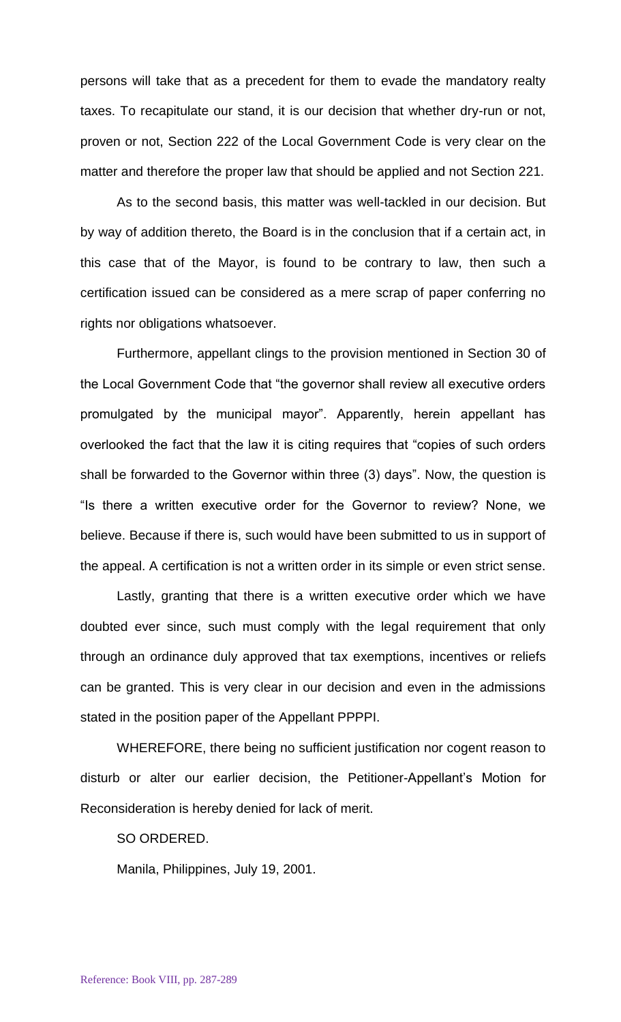persons will take that as a precedent for them to evade the mandatory realty taxes. To recapitulate our stand, it is our decision that whether dry-run or not, proven or not, Section 222 of the Local Government Code is very clear on the matter and therefore the proper law that should be applied and not Section 221.

As to the second basis, this matter was well-tackled in our decision. But by way of addition thereto, the Board is in the conclusion that if a certain act, in this case that of the Mayor, is found to be contrary to law, then such a certification issued can be considered as a mere scrap of paper conferring no rights nor obligations whatsoever.

Furthermore, appellant clings to the provision mentioned in Section 30 of the Local Government Code that "the governor shall review all executive orders promulgated by the municipal mayor". Apparently, herein appellant has overlooked the fact that the law it is citing requires that "copies of such orders shall be forwarded to the Governor within three (3) days". Now, the question is "Is there a written executive order for the Governor to review? None, we believe. Because if there is, such would have been submitted to us in support of the appeal. A certification is not a written order in its simple or even strict sense.

Lastly, granting that there is a written executive order which we have doubted ever since, such must comply with the legal requirement that only through an ordinance duly approved that tax exemptions, incentives or reliefs can be granted. This is very clear in our decision and even in the admissions stated in the position paper of the Appellant PPPPI.

WHEREFORE, there being no sufficient justification nor cogent reason to disturb or alter our earlier decision, the Petitioner-Appellant's Motion for Reconsideration is hereby denied for lack of merit.

SO ORDERED.

Manila, Philippines, July 19, 2001.